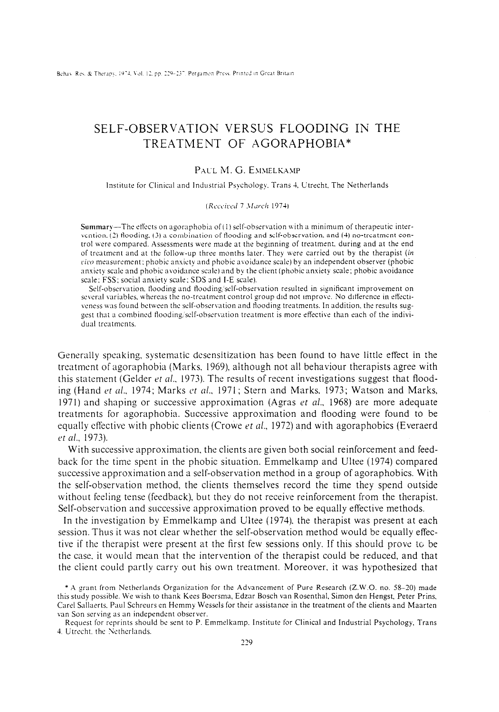# SELF-OBSERVATION VERSUS FLOODING IN THE TREATMENT OF AGORAPHOBIA\*

# PAUL M. G. EMMELKAMP

Institute for Clinical and Industrial Psychology. Trans 4, Utrecht, The Netherlands

#### (Received 7 March 1974)

Summary-The effects on agoraphobia of  $(1)$  self-observation with a minimum of therapeutic interbention. (2) tlooding. (3) a combination of flooding and self-observation. and (4) no-treatment control were comparrd. Assessments were made at the begmning of treatment. during and at the end of treatment and at the follow-up three months later. They were carried out by the therapist (in rice measurement: phobic anxiety nnd phobic avoidsnce scale) by an independent observer (phobic anxiety scale and phobic avoidance scale) and by the client (phobic anxiety scale; phobic avoidance scale; FSS; social anxiety scale; SDS and I-E scale).

Self-observation, flooding and flooding/self-observation resulted in significant improvement on several variables, whereas the no-treatment control group did not improve. No difference in effectiveness was found between the self-observation and flooding treatments. In addition, the results suggest that a combined flooding/self-observation treatment is more effective than each of the individual trcatmcnts.

Generally speaking, systematic desensitization has been found to have little effect in the treatment of agoraphobia (Marks. 1969), although not all behaviour therapists agree with this statement (Gelder *et al.*, 1973). The results of recent investigations suggest that flooding (Hand et al., 1974; Marks et al., 1971; Stern and Marks, 1973; Watson and Marks, 1971) and shaping or successive approximation (Agras *et al.*, 1968) are more adequate treatments for agoraphobia. Successive approximation and flooding were found to be equally effective with phobic clients (Crowe *et al.*, 1972) and with agoraphobics (Everaerd et al., 1973).

With successive approximation, the clients are given both social reinforcement and feedback for the time spent in the phobic situation. Emmelkamp and Ultee (1974) compared successive approximation and a self-observation method in a group of agoraphobics. With the self-observation method, the clients themselves record the time they spend outside without feeling tense (feedback), but they do not receive reinforcement from the therapist. Self-observation and successive approximation proved to be equally effective methods.

In the investigation by Emmelkamp and Ultee (1974). the therapist was present at each session. Thus it was not clear whether the self-observation method would be equally effective if the therapist were present at the first few sessions only. If this should prove tc be the case, it would mean that the intervention of the therapist could be reduced, and that the client could partly carry out his own treatment. Moreover. it was hypothesized that

<sup>\*</sup> A grant from Netherlands Organization for the Advancement of Pure Research (Z.W.O. no. 58-20) made this study possible. We wish to thank Kees Boersma. Edzar Bosch van Rosenthal. Simon den Hengst, Peter Prins, Care1 Sallusrts. Paul Schreurs en Hemmy Wessels for their assistance in the treatment of the clients and Maarten van Son serving as an independent observer.

Request for reprints should be sent to P. Emmelkamp. Institute for Clinical and Industrial Psychology, Trans 4. Utrecht, the Netherlands.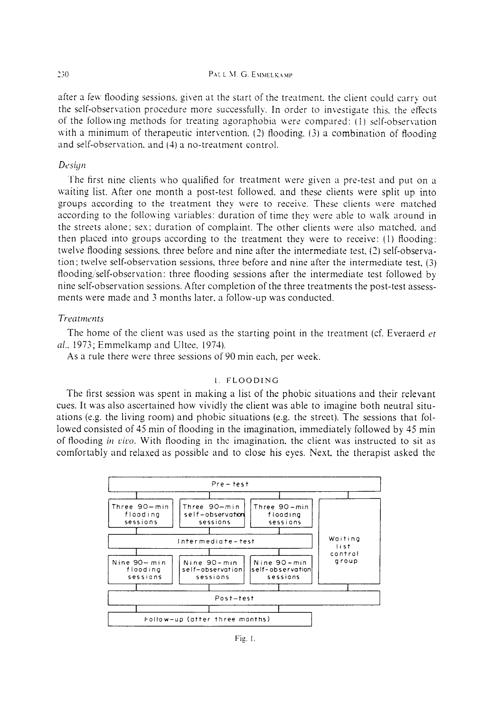after a few flooding sessions, given at the start of the treatment, the client could carry out the self-observation procedure more successfully. In order to investigate this, the effects of the following methods for treating agoraphobia were compared: (1) self-observation with a minimum of therapeutic intervention. (2) Hooding. (3) a combination of flooding and self-observation, and (4) a no-treatment control.

# Design

The first nine clients who qualified for treatment were given a pre-test and put on a waiting list. After one month a post-test followed, and these clients were split up into groups according to the treatment they were to receive. These clients were matched according to the following variables: duration of time they were able to walk around in the streets alone; sex; duration of complaint. The other clients were also matched, and then placed into groups according to the treatment they were to receive: (1) flooding: twelve flooding sessions, three before and nine after the intermediate test, (2) self-observation; twelve self-observation sessions, three before and nine after the intermediate test, (3) flooding/self-observation: three flooding sessions after the intermediate test followed by nine self-observation sessions. After completion of the three treatments the post-test assessments were made and 3 months later, a follow-up was conducted.

### *Ttxwttwnts*

The home of the client was used as the starting point in the treatment (cf. Everaerd et al., 1973; Emmelkamp and Ultee, 1974).

As a rule there were three sessions of 90 min each, per week.

## I. FLOODING

The first session was spent in making a list of the phobic situations and their relevant cues. It was also ascertained how vividly the client was able to imagine both neutral situations (e.g. the living room) and phobic situations (e.g. the street). The sessions that followed consisted of 45 min of flooding in the imagination, immediately followed by 45 min of flooding *in vivo*. With flooding in the imagination, the client was instructed to sit as comfortably and relaxed as possible and to close his eyes. Next, the therapist asked the



Fig. I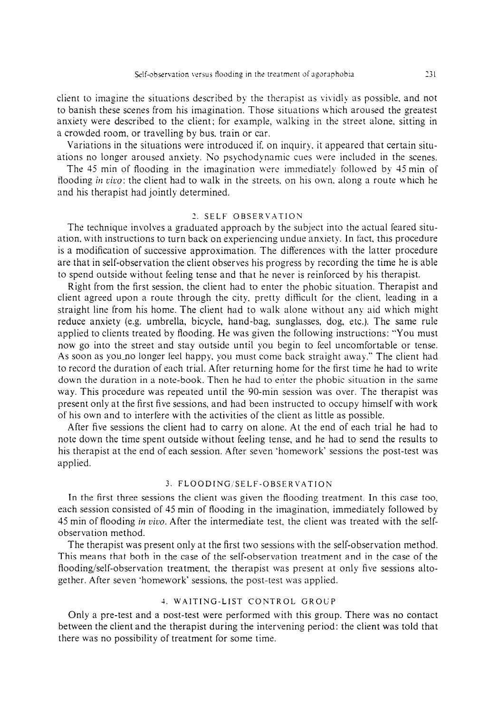client to imagine the situations described by the therapist as vividly as possible, and not to banish these scenes from his imagination. Those situations kvhich aroused the greatest anxiety were described to the client; for example, walking in the street alone, sitting in a crowded room, or travelling by bus. train or car.

Variations in the situations were introduced if. on inquiry, it appeared that certain situations no longer aroused anxiety. No psychodynamic cues were included in the scenes.

The 45 min of flooding in the imagination \vere immediately follobved by 45 min of flooding in vivo: the client had to walk in the streets, on his own, along a route which he and his therapist had jointly determined.

## 2. SELF OBSERVATION

The technique involves a graduated approach by the subject into the actual feared situation. with instructions to turn back on experiencing undue anxiety. In fact, this procedure is a modification of successive approximation. The differences with the latter procedure are that in self-observation the client observes his progress by recording the time he is able to spend outside without feeling tense and that he never is reinforced by his therapist.

Right from the first session, the client had to enter the phobic situation. Therapist and client agreed upon a route through the city, pretty difficult for the client, leading in a straight line from his home. The client had to walk alone without any aid which might reduce anxiety (e.g. umbrella, bicycle, hand-bag, sunglasses, dog, etc.). The same rule applied to clients treated by flooding. He was given the following instructions: "You must now go into the street and stay outside until you begin to feel uncomfortable or tense. As soon as you\_no longer feel happy, you must come back straight away." The client had to record the duration of each trial. After returning home for the first time he had to write down the duration in a note-book. Then he had to enter the phobic situation in the same way. This procedure was repeated until the 90-min session was over. The therapist was present only at the first five sessions, and had been instructed to occupy himself with work of his own and to interfere with the activities of the client as little as possible.

After five sessions the client had to carry on alone. At the end of each trial he had to note down the time spent outside without feeling tense, and he had to send the results to his therapist at the end of each session. After seven 'homework' sessions the post-test was applied.

## 3. FLOODING/SELF-OBSERVATION

In the first three sessions the client was given the flooding treatment. In this case too, each session consisted of 45 min of flooding in the imagination, immediately followed by 45 min of flooding in vivo. After the intermediate test, the client was treated with the selfobservation method.

The therapist was present only at the first two sessions with the self-observation method. This means that both in the case of the self-observation treatment and in the case of the flooding/self-observation treatment, the therapist was present at only five sessions altogether. After seven 'homework' sessions, the post-test was applied.

## 4. WAITING-LIST CONTROL GROUP

Only a pre-test and a post-test were performed with this group. There was no contact between the client and the therapist during the intervening period: the client was told that there was no possibility of treatment for some time.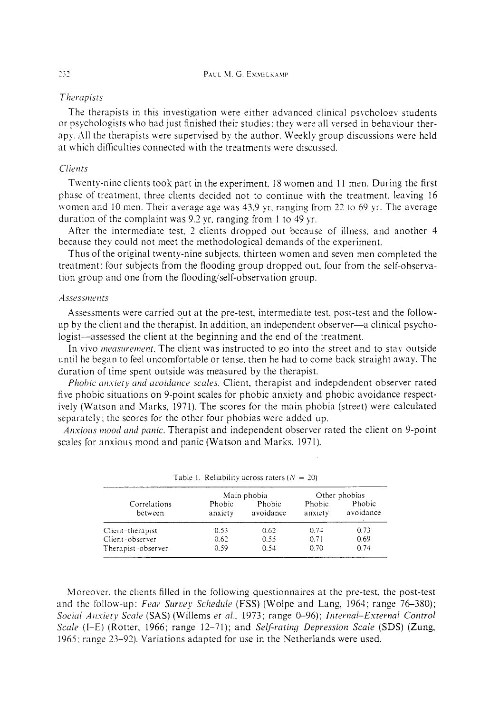### *Therapisrs*

The therapists in this investigation were either advanced clinical psychology students or psychologists who had just finished their studies: they were all versed in behaviour therapy. All the therapists were supervised by the author. Weekly group discussions were held at which difficulties connected with the treatments were discussed.

# *Clirr7ts*

Twenty-nine clients took part in the experiment. 18 women and 11 men. During the first phase of treatment. three clients decided not to continue with the treatment. leaving 16 women and 10 men. Their average age was 43.9 yr, ranging from 22 to 69 yr. The average duration of the complaint was 9.2 yr. ranging from 1 to 49 yr.

After the intermediate test. 2 clients dropped out because of illness, and another 4 because they could not meet the methodological demands of the experiment.

Thus of the original twenty-nine subjects, thirteen women and seven men completed the treatment: four subjects from the flooding group dropped out, four from the self-observation group and one from the flooding/self-observation group.

#### Assessments

Assessments were carried out at the pre-test, intermediate test, post-test and the followup by the client and the therapist. In addition, an independent observer-a clinical psychologist—assessed the client at the beginning and the end of the treatment.

In vivo *measurement*. The client was instructed to go into the street and to stay outside until he began to feel uncomfortable or tense. then he had to come back straight away. The duration of time spent outside was measured by the therapist.

*Phobic anxiety and avoidance scales.* Client, therapist and indepdendent observer rated five phobic situations on 9-point scales for phobic anxiety and phobic avoidance respectively (Watson and Marks, 1971). The scores for the main phobia (street) were calculated separately; the scores for the other four phobias were added up.

*Anxious mood and panic.* Therapist and independent observer rated the client on 9-point scales for anxious mood and panic (Watson and Marks, 1971).

| Correlations<br>between |                   | Main phobia         | Other phobias            |                     |  |
|-------------------------|-------------------|---------------------|--------------------------|---------------------|--|
|                         | Phobic<br>anxiety | Phobic<br>avoidance | <b>Phobic</b><br>anxiety | Phobic<br>avoidance |  |
| Client-therapist        | 0.53              | 0.62                | 0.74                     | 0.73                |  |
| Client-observer         | 0.62              | 0.55                | 0.71                     | 0.69                |  |
| Therapist-observer      | 0.59              | 0.54                | 0.70                     | 0.74                |  |

| Table 1. Reliability across raters ( $N = 20$ ) |  |  |  |  |  |  |
|-------------------------------------------------|--|--|--|--|--|--|
|-------------------------------------------------|--|--|--|--|--|--|

Moreover, the clients filled in the following questionnaires at the pre-test, the post-test and the follow-up: *Fear Survey Schedule* (FSS) (Wolpe and Lang, 1964; range 76-380); Social Anxiety Scale (SAS) (Willems et al., 1973; range 0-96); *Internal-External Control* Scale (I-E) (Rotter, 1966; range 12-71); and *Self-rating Depression Scale* (SDS) (Zung, 1965; range *23-92).* Variations adapted for use in the Netherlands were used.

#### 232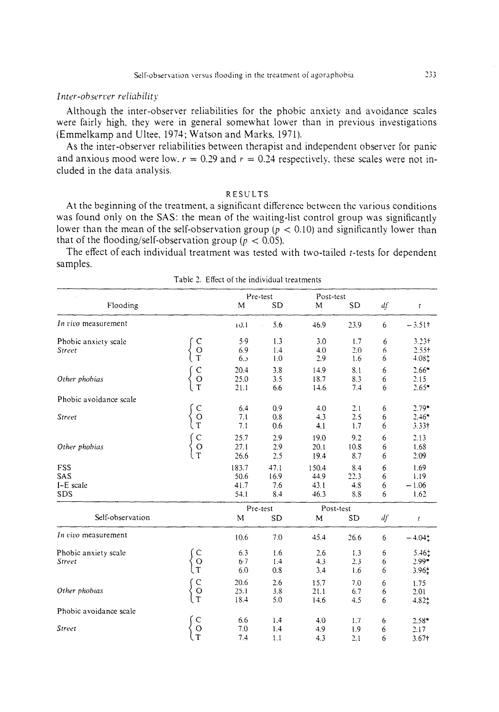### Inter-observer reliability

Although the inter-observer reliabilities for the phobic anxiety and avoidance scales were fairly high, they were in general somewhat lower than in previous investigations (Emmelkamp and Ultee, 1974; Watson and Marks, 1971).

As the inter-observer reliabilities between therapist and independent observer for panic and anxious mood were low,  $r = 0.29$  and  $r = 0.24$  respectively, these scales were not included in the data analysis.

## **RESULTS**

At the beginning of the treatment, a significant difference between the various conditions was found only on the SAS: the mean of the waiting-list control group was significantly lower than the mean of the self-observation group ( $p < 0.10$ ) and significantly lower than that of the flooding/self-observation group ( $p < 0.05$ ).

The effect of each individual treatment was tested with two-tailed t-tests for dependent samples.

|                        |                                            |       | Pre-test       | Post-test |           |    |                   |
|------------------------|--------------------------------------------|-------|----------------|-----------|-----------|----|-------------------|
| Flooding               |                                            | M     | <b>SD</b>      | M         | <b>SD</b> | df | $\pmb{t}$         |
| In vivo measurement    |                                            | 10.1  | 5.6            | 46.9      | 23.9      | 6  | $-3.51$ †         |
| Phobic anxiety scale   |                                            | 5.9   | 1.3            | 3.0       | 1.7       | 6  | $3.23 +$          |
| <b>Street</b>          |                                            | 6.9   | 1.4            | 4.0       | 2.0       | 6  | $2.55+$           |
|                        | $\begin{array}{c} C \\ O \\ T \end{array}$ | 6.5   | $\mathbf{1.0}$ | 2.9       | 1.6       | 6  | $4.08+$           |
|                        | $\begin{array}{c} C \\ O \\ T \end{array}$ | 20.4  | 3.8            | 14.9      | 8.1       | 6  | $2.66*$           |
| Other phobias          |                                            | 25.0  | 3.5            | 18.7      | 8.3       | 6  | 2.15              |
|                        |                                            | 21.1  | 6.6            | 14.6      | 7.4       | 6  | $2.65*$           |
| Phobic avoidance scale |                                            |       |                |           |           |    |                   |
|                        | $\rm _T^C$                                 | 6.4   | 0.9            | 4.0       | 2.1       | 6  | $2.79*$           |
| Street                 |                                            | 7.1   | 0.8            | 4.3       | 2.5       | 6  | $2.46*$           |
|                        |                                            | 7.1   | 0.6            | 4.1       | 1.7       | 6  | 3.33 <sup>†</sup> |
|                        | $\begin{array}{c} C \\ O \\ T \end{array}$ | 25.7  | 2.9            | 19.0      | 9.2       | 6  | 2.13              |
| Other phobias          |                                            | 27.1  | 2.9            | 20.1      | 10.8      | 6  | 1.68              |
|                        |                                            | 26.6  | 2.5            | 19.4      | 8.7       | 6  | 2.09              |
| FSS                    |                                            | 183.7 | 47.1           | 150.4     | 8.4       | 6  | 1.69              |
| SAS                    |                                            | 50.6  | 16.9           | 44.9      | 22.3      | 6  | 1.19              |
| I-E scale              |                                            | 41.7  | 7.6            | 43.1      | 4.8       | 6  | $-1.06$           |
| SDS                    |                                            | 54.1  | 8.4            | 46.3      | 8.8       | 6  | 1.62              |
|                        |                                            |       | Pre-test       | Post-test |           |    |                   |
| Self-observation       |                                            | M     | <b>SD</b>      | M         | <b>SD</b> | df | ţ                 |
| In vivo measurement    |                                            | 10.6  | 7.0            | 45.4      | 26.6      | 6  | $-4.041$          |
| Phobic anxiety scale   |                                            | 6.3   | 1.6            | 2.6       | 1.3       | 6  | $5.46^{+}$        |
| Street                 |                                            | 6.7   | 1.4            | 4.3       | 2.3       | 6  | $2.99*$           |
|                        | $\begin{matrix} C \\ O \\ T \end{matrix}$  | 6.0   | 0.8            | 3.4       | 1.6       | 6  | 3.96‡             |
|                        |                                            | 20.6  | 2.6            | 15.7      | 7.0       | 6  | 1.75              |
| Other phobias          |                                            | 25.1  | 3.8            | 21.1      | 6.7       | 6  | 2.01              |
|                        | $\begin{array}{c} C \\ O \\ T \end{array}$ | 18.4  | 5.0            | 14.6      | 4.5       | 6  | 4.821             |
| Phobic avoidance scale |                                            |       |                |           |           |    |                   |
|                        |                                            | 6.6   | 1.4            | 4.0       | 1.7       | 6  | $2.58*$           |
| Street                 |                                            | 7.0   | 1.4            | 4.9       | 1.9       | 6  | 2.17              |
|                        | $\begin{matrix} C \\ O \\ T \end{matrix}$  | 7.4   | 1.1            | 4.3       | 2.1       | 6  | $3.67 +$          |

Table 2. Effect of the individual treatments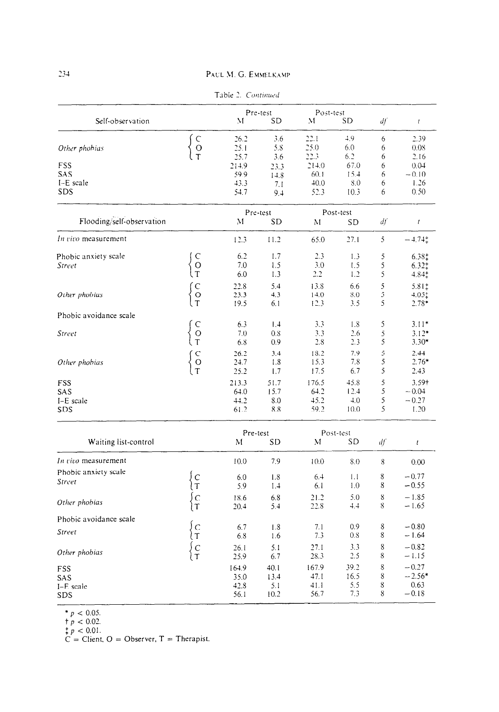|                           |                                            |       | Pre-test  | Post-test |      |    |                 |
|---------------------------|--------------------------------------------|-------|-----------|-----------|------|----|-----------------|
| Self-observation          |                                            | M     | <b>SD</b> | М         | SD   | df | t               |
|                           |                                            | 26.2  | 3.6       | 22.1      | 4.9  | 6  | 2.39            |
| Other phobias             | C<br>O<br>T                                | 25.1  | 5.8       | 25.0      | 6.0  | 6  | 0.08            |
|                           |                                            | 25.7  | 3.6       | 22.3      | 6.2  | 6  | 2.16            |
| FSS                       |                                            | 214.9 | 23.3      | 214.0     | 67.0 | 6  | 0.04            |
| <b>SAS</b>                |                                            | 59.9  | 14.8      | 60.1      | 15.4 | 6  | $-0.10$         |
| I-E scale                 |                                            | 43.3  | 7.1       | 40.0      | 8.0  | 6  | 1.26            |
| SDS                       |                                            | 54.7  | 9.4       | 52.3      | 10.3 | 6  | 0.50            |
|                           |                                            |       | Pre-test  | Post-test |      |    |                 |
| Flooding/self-observation |                                            | M     | <b>SD</b> | M         | SD   | df | $\sqrt{ }$      |
| In vivo measurement       |                                            | 12.3  | 11.2      | 65.0      | 27.1 | 5  | $-4.74^{+}_{+}$ |
| Phobic anxiety scale      |                                            | 6.2   | 1.7       | 2.3       | 1.3  | 5  | $6.38^{+}_{+}$  |
| Street                    |                                            | 7.0   | 1.5       | 3.0       | 1.5  | 5  | $6.32^{+}_{+}$  |
|                           | $\begin{array}{c} C \\ O \\ T \end{array}$ | 6.0   | 1.3       | 2.2       | 1.2  | 5  | $4.84^{+}_{+}$  |
|                           |                                            | 22.8  | 5.4       | 13.8      | 6.6  | 5  | 5.81‡           |
| Other phobias             |                                            | 23.3  | 4.3       | 14.0      | 8.0  | 5  | $4.05+$         |
|                           | $\begin{array}{c} C \\ O \\ T \end{array}$ | 19.5  | 6.1       | 12.3      | 3.5  | 5  | $2.78*$         |
| Phobic avoidance scale    |                                            |       |           |           |      |    |                 |
|                           |                                            | 6.3   | 1,4       | 3.3       | 1.8  | 5  | $3.11*$         |
| Street                    |                                            | 7.0   | 0.8       | 3.3       | 2.6  | 5  | $3.12*$         |
|                           | $\begin{array}{c} C \\ O \\ T \end{array}$ | 6.8   | 0.9       | 2.8       | 2.3  | 5  | $3.30*$         |
|                           |                                            | 26.2  | 3.4       | 18.2      | 7.9  | 5  | 2.44            |
| Other phobias             |                                            | 24.7  | 1.8       | 15.3      | 7.8  | 5  | $2.76*$         |
|                           | $\begin{array}{c} C \\ O \\ T \end{array}$ | 25.2  | 1.7       | 17.5      | 6.7  | 5  | 2.43            |
| FSS                       |                                            | 213.3 | 51.7      | 176.5     | 45.8 | 5  | 3.59+           |
| SAS                       |                                            | 64.0  | 15.7      | 64.2      | 12.4 | 5  | $-0.04$         |
| I-E scale                 |                                            | 44.2  | 8.0       | 45.2      | 4.0  | 5  | $-0.27$         |
| SDS                       |                                            | 61.2  | 8.8       | 59.2      | 10.0 | 5  | 1.20            |

| Table 2. | Continued |
|----------|-----------|

|                                       |                   | Pre-test                      |                             |                               | Post-test                  |                  |                                        |
|---------------------------------------|-------------------|-------------------------------|-----------------------------|-------------------------------|----------------------------|------------------|----------------------------------------|
| Waiting list-control                  |                   | M                             | <b>SD</b>                   | M                             | SD                         | df               | $\mathfrak{c}$                         |
| In vivo measurement                   |                   | 10.0                          | 7.9                         | 10.0                          | 8.0                        | 8                | 0.00                                   |
| Phobic anxiety scale<br>Street        |                   | 6.0<br>5.9                    | 1.8<br>1.4                  | 6.4<br>6.1                    | 1.1<br>1.0                 | 8<br>8           | $-0.77$<br>$-0.55$                     |
| Other phobias                         |                   | 18.6<br>20.4                  | 6.8<br>5.4                  | 21.2<br>22.8                  | 5.0<br>4.4                 | 8<br>8           | $-1.85$<br>$-1.65$                     |
| Phobic avoidance scale                |                   |                               |                             |                               |                            |                  |                                        |
| Street                                | $\mathsf{C}$<br>T | 6.7<br>6.8                    | 1.8<br>1.6                  | 7.1<br>7.3                    | 0.9<br>0.8                 | 8<br>8           | $-0.80$<br>$-1.64$                     |
| Other phobias                         | С<br>T            | 26.1<br>25.9                  | 5.1<br>6.7                  | 27.1<br>28.3                  | 3.3<br>2.5                 | 8<br>8           | $-0.82$<br>$-1.15$                     |
| <b>FSS</b><br>SAS<br>I-E scale<br>SDS |                   | 164.9<br>35.0<br>42.8<br>56.1 | 40.1<br>13.4<br>5.1<br>10.2 | 167.9<br>47.1<br>41.1<br>56.7 | 39.2<br>16.5<br>5.5<br>7.3 | 8<br>8<br>8<br>8 | $-0.27$<br>$-2.56*$<br>0.63<br>$-0.18$ |

 $p < 0.05$ .<br>  $\uparrow p < 0.02$ .<br>  $\downarrow p < 0.01$ .<br>  $C = Client, O = Observatory, T = Therapist.$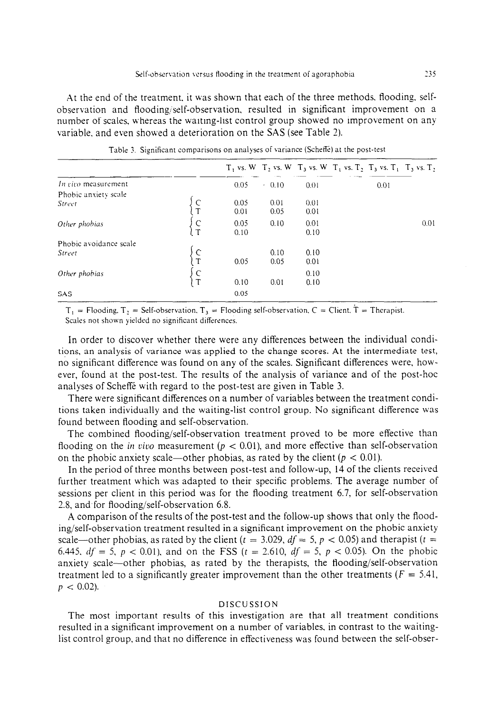At the end of the treatment. it was shown that each of the three methods. flooding. selfobservation and Roodingjself-observation, resulted in significant improvement on a number of scales. whereas the waiting-list control group showed no improvement on any variable. and even showed a deterioration on the SAS (see Table 2).

|                        |                 |      |         |      | $T_1$ vs. W $T_2$ vs. W $T_3$ vs. W $T_1$ vs. $T_2$ , $T_3$ vs. $T_1$ , $T_3$ vs. $T_2$ |      |
|------------------------|-----------------|------|---------|------|-----------------------------------------------------------------------------------------|------|
| In vivo measurement    |                 | 0.05 | $+0.10$ | 0.01 | 0.01                                                                                    |      |
| Phobic anxiety scale   |                 |      |         |      |                                                                                         |      |
| Street                 |                 | 0.05 | 0.01    | 0.01 |                                                                                         |      |
|                        | $\mathbf{\tau}$ | 0.01 | 0.05    | 0.01 |                                                                                         |      |
| Other phobias          | $\mathsf{C}$    | 0.05 | 0.10    | 0.01 |                                                                                         | 0.01 |
|                        |                 | 0.10 |         | 0.10 |                                                                                         |      |
| Phobic avoidance scale |                 |      |         |      |                                                                                         |      |
| Street                 |                 |      | 0.10    | 0.10 |                                                                                         |      |
|                        | $\mathbf T$     | 0.05 | 0.05    | 0.01 |                                                                                         |      |
| Other phobias          |                 |      |         | 0.10 |                                                                                         |      |
|                        | $\frac{C}{T}$   | 0.10 | 0.01    | 0.10 |                                                                                         |      |
| <b>SAS</b>             |                 | 0.05 |         |      |                                                                                         |      |

Table 3. Significant comparisons on analyses of variance (Scheffe) at the post-test

 $T_1$  = Flooding,  $T_2$  = Self-observation,  $T_3$  = Flooding self-observation, C = Client,  $T$  = Therapist. Scales not shown yielded no significant differences.

In order to discover whether there were any differences between the individual conditions, an analysis of variance was applied to the change scores. At the intermediate test, no significant difference was found on any of the scales. Significant differences were, however, found at the post-test. The results of the analysis of variance and of the post-hoc analyses of Scheffe with regard to the post-test are given in Table 3.

There were significant differences on a number of variables between the treatment conditions taken individually and the waiting-list control group. No significant difference was found between flooding and self-observation

The combined flooding/self-observation treatment proved to be more effective than flooding on the *in vivo* measurement ( $p < 0.01$ ), and more effective than self-observation on the phobic anxiety scale—other phobias, as rated by the client ( $p < 0.01$ ).

In the period of three months between post-test and follow-up, 14 of the clients received further treatment which was adapted to their specific problems. The average number of sessions per client in this period was for the flooding treatment 6.7, for self-observation 2.8, and for flooding/self-observation 6.8.

A comparison of the results of the post-test and the follow-up shows that only the flooding/self-observation treatment resulted in a significant improvement on the phobic anxiety scale—other phobias, as rated by the client ( $t = 3.029$ ,  $df = 5$ ,  $p < 0.05$ ) and therapist ( $t =$ 6.445,  $df = 5$ ,  $p < 0.01$ ), and on the FSS ( $t = 2.610$ ,  $df = 5$ ,  $p < 0.05$ ). On the phobic anxiety scale-other phobias, as rated by the therapists, the flooding/self-observation treatment led to a significantly greater improvement than the other treatments ( $F = 5.41$ ,  $p < 0.02$ ).

#### DISCUSSION

The most important results of this investigation are that all treatment conditions resulted in a significant improvement on a number of variables. in contrast to the waitinglist control group, and that no difference in effectiveness was found between the self-obser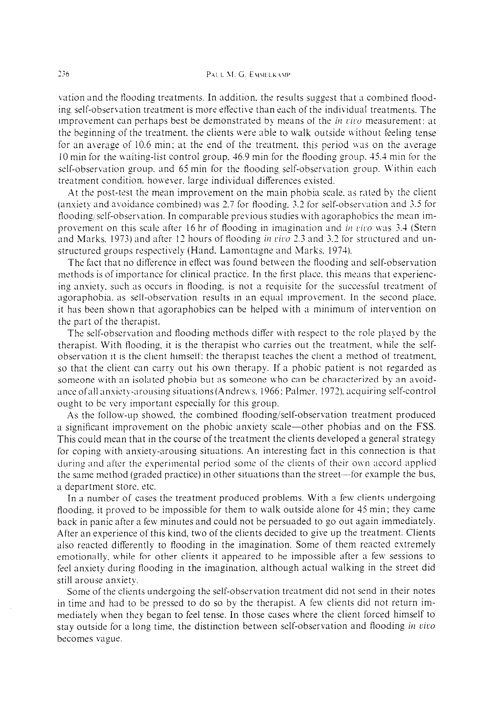vation and the flooding treatments. In addition, the results suggest that a combined flooding self-observation treatment is more effective than each of the individual treatments. The improvement can perhaps best be demonstrated by means of the  $\hat{i}n$  vivo measurement: at the beginning of the treatment, the clients were able to walk outside without feeling tense for an average of  $10.6$  min; at the end of the treatment, this period was on the average 10 min for the bvaiting-list control group. 46.9 min for the flooding group. 45.4 min for the self-observation group, and 65 min for the flooding self-observation group. Within each treatment condition, however, large individual differences existed.

At the post-test the mean improvement on the main phobia scale. as rated by the client (anxiety and avoidance combined) was 2.7 for flooding,  $3.2$  for self-observation and 3.5 for flooding/self-observation. In comparable previous studies with agoraphobics the mean improvement on this scale after 16 hr of flooding in imagination and in vivo was  $3.4$  (Stern and Marks. 1973) and after 12 hours of flooding in vivo 2.3 and 3.2 for structured and unstructured groups respectively (Hand. Lamontagne and Marks, 1974).

The fact that no difference in effect was found between the flooding and self-observation methods is of importance for clinical practice. In the first place, this means that experiencing anxiety. such as occurs in flooding. is not a requisite for the successful treatment of agoraphobia, as self-observation results in an equal improvement. In the second place, it has been shown that agoraphobics can be helped with a minimum of intervention on the part of the therapist.

The self-observation and flooding methods differ with respect to the role played by the therapist. With flooding. it is the therapist who carries out the treatment, while the selfobservation it is the client himself: the therapist teaches the client a method of treatment, so that the client can carry out his own therapy. If a phobic patient is not regarded as someone with an isolated phobia but as someone who can be characterized by an avoidance of all anxiety-arousing situations (Andrews, 1966: Palmer, 1972), acquiring self-control ought to bc very important especially for this group.

As the follow-up showed, the combined flooding/self-observation treatment produced a significant improvement on the phobic anxiety scale-other phobias and on the FSS. This could mean that in the course of the treatment the clients developed a general strategy for coping with anxiety-arousing situations. An interesting fact in this connection is that during and after the experimental period some of the clients of their own accord applied the same method (graded practice) in other situations than the street-for example the bus, a department store. etc.

In a number of cases the treatment produced problems. With a few clients undergoing flooding, it proved to be impossible for them to walk outside alone for  $45$  min; they came back in panic after a few minutes and could not be persuaded to go out again immediately. After an experience of this kind, two of the clients decided to give up the treatment. Clients also reacted differently to flooding in the imagination. Some of them reacted extremely emotionally. while for other clients it appeared to be impossible after a few sessions to feel anxiety during flooding in the imagination, although actual walking in the street did still arouse anxiety.

Some of the clients undergoing the self-observation treatment did not send in their notes in time and had to be pressed to do so by the therapist. A few clients did not return immediately ivhen they began to feel tense. In those cases where the client forced himself to stay outside for a long time, the distinction between self-observation and flooding in vivo becomes **vague.**